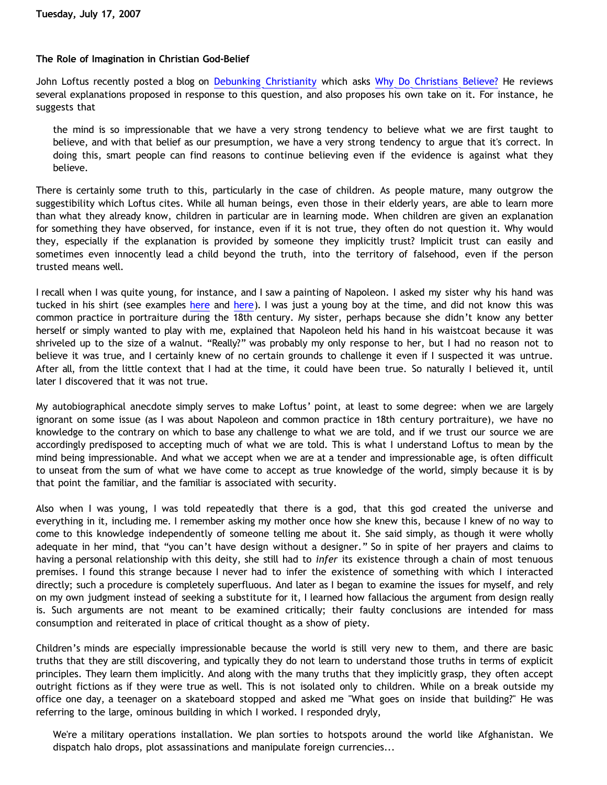## **The Role of Imagination in Christian God-Belief**

John Loftus recently posted a blog on [Debunking Christianity](http://debunkingchristianity.blogspot.com/) which asks [Why Do Christians Believe?](http://debunkingchristianity.blogspot.com/2007/07/why-do-christians-believe.html) He reviews several explanations proposed in response to this question, and also proposes his own take on it. For instance, he suggests that

the mind is so impressionable that we have a very strong tendency to believe what we are first taught to believe, and with that belief as our presumption, we have a very strong tendency to argue that it's correct. In doing this, smart people can find reasons to continue believing even if the evidence is against what they believe.

There is certainly some truth to this, particularly in the case of children. As people mature, many outgrow the suggestibility which Loftus cites. While all human beings, even those in their elderly years, are able to learn more than what they already know, children in particular are in learning mode. When children are given an explanation for something they have observed, for instance, even if it is not true, they often do not question it. Why would they, especially if the explanation is provided by someone they implicitly trust? Implicit trust can easily and sometimes even innocently lead a child beyond the truth, into the territory of falsehood, even if the person trusted means well.

I recall when I was quite young, for instance, and I saw a painting of Napoleon. I asked my sister why his hand was tucked in his shirt (see examples [here](http://www.artchive.com/viewer/z.html) and [here\)](http://library.thinkquest.org/C0110901/imagesAll/consul.jpg). I was just a young boy at the time, and did not know this was common practice in portraiture during the 18th century. My sister, perhaps because she didn't know any better herself or simply wanted to play with me, explained that Napoleon held his hand in his waistcoat because it was shriveled up to the size of a walnut. "Really?" was probably my only response to her, but I had no reason not to believe it was true, and I certainly knew of no certain grounds to challenge it even if I suspected it was untrue. After all, from the little context that I had at the time, it could have been true. So naturally I believed it, until later I discovered that it was not true.

My autobiographical anecdote simply serves to make Loftus' point, at least to some degree: when we are largely ignorant on some issue (as I was about Napoleon and common practice in 18th century portraiture), we have no knowledge to the contrary on which to base any challenge to what we are told, and if we trust our source we are accordingly predisposed to accepting much of what we are told. This is what I understand Loftus to mean by the mind being impressionable. And what we accept when we are at a tender and impressionable age, is often difficult to unseat from the sum of what we have come to accept as true knowledge of the world, simply because it is by that point the familiar, and the familiar is associated with security.

Also when I was young, I was told repeatedly that there is a god, that this god created the universe and everything in it, including me. I remember asking my mother once how she knew this, because I knew of no way to come to this knowledge independently of someone telling me about it. She said simply, as though it were wholly adequate in her mind, that "you can't have design without a designer." So in spite of her prayers and claims to having a personal relationship with this deity, she still had to *infer* its existence through a chain of most tenuous premises. I found this strange because I never had to infer the existence of something with which I interacted directly; such a procedure is completely superfluous. And later as I began to examine the issues for myself, and rely on my own judgment instead of seeking a substitute for it, I learned how fallacious the argument from design really is. Such arguments are not meant to be examined critically; their faulty conclusions are intended for mass consumption and reiterated in place of critical thought as a show of piety.

Children's minds are especially impressionable because the world is still very new to them, and there are basic truths that they are still discovering, and typically they do not learn to understand those truths in terms of explicit principles. They learn them implicitly. And along with the many truths that they implicitly grasp, they often accept outright fictions as if they were true as well. This is not isolated only to children. While on a break outside my office one day, a teenager on a skateboard stopped and asked me "What goes on inside that building?" He was referring to the large, ominous building in which I worked. I responded dryly,

We're a military operations installation. We plan sorties to hotspots around the world like Afghanistan. We dispatch halo drops, plot assassinations and manipulate foreign currencies...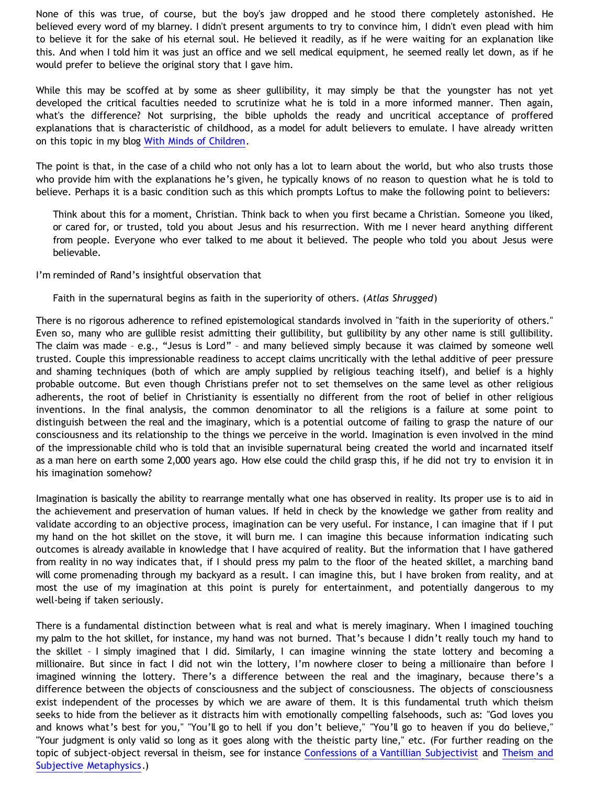None of this was true, of course, but the boy's jaw dropped and he stood there completely astonished. He believed every word of my blarney. I didn't present arguments to try to convince him, I didn't even plead with him to believe it for the sake of his eternal soul. He believed it readily, as if he were waiting for an explanation like this. And when I told him it was just an office and we sell medical equipment, he seemed really let down, as if he would prefer to believe the original story that I gave him.

While this may be scoffed at by some as sheer gullibility, it may simply be that the youngster has not yet developed the critical faculties needed to scrutinize what he is told in a more informed manner. Then again, what's the difference? Not surprising, the bible upholds the ready and uncritical acceptance of proffered explanations that is characteristic of childhood, as a model for adult believers to emulate. I have already written on this topic in my blog [With Minds of Children](http://bahnsenburner.blogspot.com/2005/12/with-minds-of-children.html).

The point is that, in the case of a child who not only has a lot to learn about the world, but who also trusts those who provide him with the explanations he's given, he typically knows of no reason to question what he is told to believe. Perhaps it is a basic condition such as this which prompts Loftus to make the following point to believers:

Think about this for a moment, Christian. Think back to when you first became a Christian. Someone you liked, or cared for, or trusted, told you about Jesus and his resurrection. With me I never heard anything different from people. Everyone who ever talked to me about it believed. The people who told you about Jesus were believable.

I'm reminded of Rand's insightful observation that

Faith in the supernatural begins as faith in the superiority of others. (*Atlas Shrugged*)

There is no rigorous adherence to refined epistemological standards involved in "faith in the superiority of others." Even so, many who are gullible resist admitting their gullibility, but gullibility by any other name is still gullibility. The claim was made – e.g., "Jesus is Lord" – and many believed simply because it was claimed by someone well trusted. Couple this impressionable readiness to accept claims uncritically with the lethal additive of peer pressure and shaming techniques (both of which are amply supplied by religious teaching itself), and belief is a highly probable outcome. But even though Christians prefer not to set themselves on the same level as other religious adherents, the root of belief in Christianity is essentially no different from the root of belief in other religious inventions. In the final analysis, the common denominator to all the religions is a failure at some point to distinguish between the real and the imaginary, which is a potential outcome of failing to grasp the nature of our consciousness and its relationship to the things we perceive in the world. Imagination is even involved in the mind of the impressionable child who is told that an invisible supernatural being created the world and incarnated itself as a man here on earth some 2,000 years ago. How else could the child grasp this, if he did not try to envision it in his imagination somehow?

Imagination is basically the ability to rearrange mentally what one has observed in reality. Its proper use is to aid in the achievement and preservation of human values. If held in check by the knowledge we gather from reality and validate according to an objective process, imagination can be very useful. For instance, I can imagine that if I put my hand on the hot skillet on the stove, it will burn me. I can imagine this because information indicating such outcomes is already available in knowledge that I have acquired of reality. But the information that I have gathered from reality in no way indicates that, if I should press my palm to the floor of the heated skillet, a marching band will come promenading through my backyard as a result. I can imagine this, but I have broken from reality, and at most the use of my imagination at this point is purely for entertainment, and potentially dangerous to my well-being if taken seriously.

There is a fundamental distinction between what is real and what is merely imaginary. When I imagined touching my palm to the hot skillet, for instance, my hand was not burned. That's because I didn't really touch my hand to the skillet – I simply imagined that I did. Similarly, I can imagine winning the state lottery and becoming a millionaire. But since in fact I did not win the lottery, I'm nowhere closer to being a millionaire than before I imagined winning the lottery. There's a difference between the real and the imaginary, because there's a difference between the objects of consciousness and the subject of consciousness. The objects of consciousness exist independent of the processes by which we are aware of them. It is this fundamental truth which theism seeks to hide from the believer as it distracts him with emotionally compelling falsehoods, such as: "God loves you and knows what's best for you," "You'll go to hell if you don't believe," "You'll go to heaven if you do believe," "Your judgment is only valid so long as it goes along with the theistic party line," etc. (For further reading on the topic of subject-object reversal in theism, see for instance [Confessions of a Vantillian Subjectivist](http://bahnsenburner.blogspot.com/2006/03/confessions-of-vantillian-subjectivist.html) and [Theism and](http://bahnsenburner.blogspot.com/2006/12/theism-and-subjective-metaphysics.html) [Subjective Metaphysics](http://bahnsenburner.blogspot.com/2006/12/theism-and-subjective-metaphysics.html).)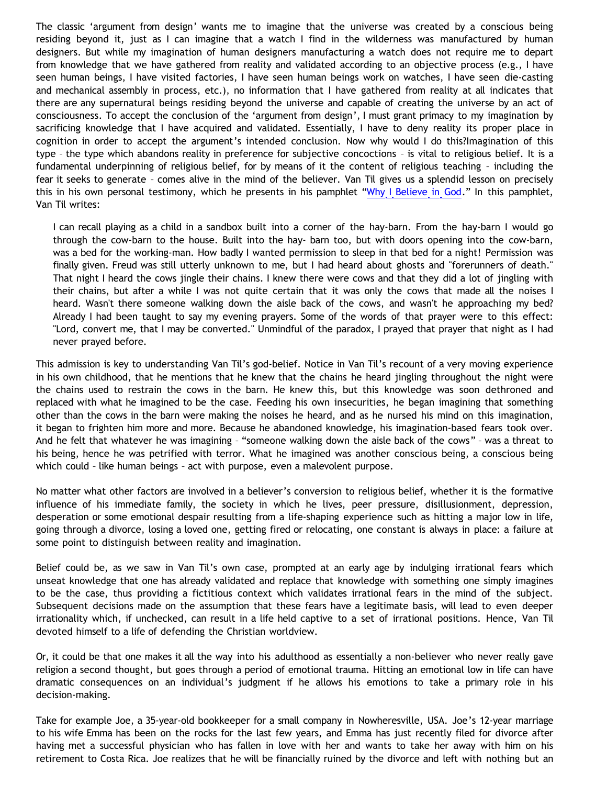The classic 'argument from design' wants me to imagine that the universe was created by a conscious being residing beyond it, just as I can imagine that a watch I find in the wilderness was manufactured by human designers. But while my imagination of human designers manufacturing a watch does not require me to depart from knowledge that we have gathered from reality and validated according to an objective process (e.g., I have seen human beings, I have visited factories, I have seen human beings work on watches, I have seen die-casting and mechanical assembly in process, etc.), no information that I have gathered from reality at all indicates that there are any supernatural beings residing beyond the universe and capable of creating the universe by an act of consciousness. To accept the conclusion of the 'argument from design', I must grant primacy to my imagination by sacrificing knowledge that I have acquired and validated. Essentially, I have to deny reality its proper place in cognition in order to accept the argument's intended conclusion. Now why would I do this?Imagination of this type – the type which abandons reality in preference for subjective concoctions – is vital to religious belief. It is a fundamental underpinning of religious belief, for by means of it the content of religious teaching – including the fear it seeks to generate – comes alive in the mind of the believer. Van Til gives us a splendid lesson on precisely this in his own personal testimony, which he presents in his pamphlet ["Why I Believe in God](http://www.reformed.org/apologetics/why_I_believe_cvt.html)." In this pamphlet, Van Til writes:

I can recall playing as a child in a sandbox built into a corner of the hay-barn. From the hay-barn I would go through the cow-barn to the house. Built into the hay- barn too, but with doors opening into the cow-barn, was a bed for the working-man. How badly I wanted permission to sleep in that bed for a night! Permission was finally given. Freud was still utterly unknown to me, but I had heard about ghosts and "forerunners of death." That night I heard the cows jingle their chains. I knew there were cows and that they did a lot of jingling with their chains, but after a while I was not quite certain that it was only the cows that made all the noises I heard. Wasn't there someone walking down the aisle back of the cows, and wasn't he approaching my bed? Already I had been taught to say my evening prayers. Some of the words of that prayer were to this effect: "Lord, convert me, that I may be converted." Unmindful of the paradox, I prayed that prayer that night as I had never prayed before.

This admission is key to understanding Van Til's god-belief. Notice in Van Til's recount of a very moving experience in his own childhood, that he mentions that he knew that the chains he heard jingling throughout the night were the chains used to restrain the cows in the barn. He knew this, but this knowledge was soon dethroned and replaced with what he imagined to be the case. Feeding his own insecurities, he began imagining that something other than the cows in the barn were making the noises he heard, and as he nursed his mind on this imagination, it began to frighten him more and more. Because he abandoned knowledge, his imagination-based fears took over. And he felt that whatever he was imagining – "someone walking down the aisle back of the cows" – was a threat to his being, hence he was petrified with terror. What he imagined was another conscious being, a conscious being which could – like human beings – act with purpose, even a malevolent purpose.

No matter what other factors are involved in a believer's conversion to religious belief, whether it is the formative influence of his immediate family, the society in which he lives, peer pressure, disillusionment, depression, desperation or some emotional despair resulting from a life-shaping experience such as hitting a major low in life, going through a divorce, losing a loved one, getting fired or relocating, one constant is always in place: a failure at some point to distinguish between reality and imagination.

Belief could be, as we saw in Van Til's own case, prompted at an early age by indulging irrational fears which unseat knowledge that one has already validated and replace that knowledge with something one simply imagines to be the case, thus providing a fictitious context which validates irrational fears in the mind of the subject. Subsequent decisions made on the assumption that these fears have a legitimate basis, will lead to even deeper irrationality which, if unchecked, can result in a life held captive to a set of irrational positions. Hence, Van Til devoted himself to a life of defending the Christian worldview.

Or, it could be that one makes it all the way into his adulthood as essentially a non-believer who never really gave religion a second thought, but goes through a period of emotional trauma. Hitting an emotional low in life can have dramatic consequences on an individual's judgment if he allows his emotions to take a primary role in his decision-making.

Take for example Joe, a 35-year-old bookkeeper for a small company in Nowheresville, USA. Joe's 12-year marriage to his wife Emma has been on the rocks for the last few years, and Emma has just recently filed for divorce after having met a successful physician who has fallen in love with her and wants to take her away with him on his retirement to Costa Rica. Joe realizes that he will be financially ruined by the divorce and left with nothing but an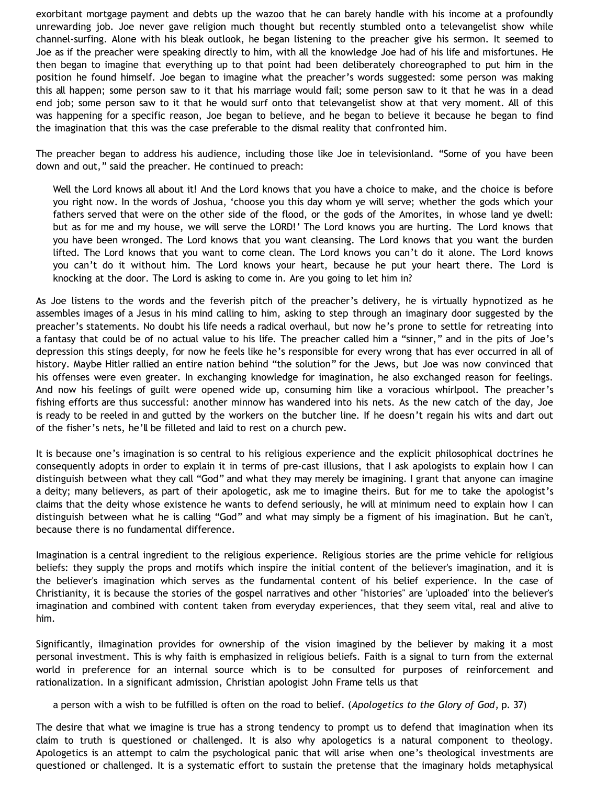exorbitant mortgage payment and debts up the wazoo that he can barely handle with his income at a profoundly unrewarding job. Joe never gave religion much thought but recently stumbled onto a televangelist show while channel-surfing. Alone with his bleak outlook, he began listening to the preacher give his sermon. It seemed to Joe as if the preacher were speaking directly to him, with all the knowledge Joe had of his life and misfortunes. He then began to imagine that everything up to that point had been deliberately choreographed to put him in the position he found himself. Joe began to imagine what the preacher's words suggested: some person was making this all happen; some person saw to it that his marriage would fail; some person saw to it that he was in a dead end job; some person saw to it that he would surf onto that televangelist show at that very moment. All of this was happening for a specific reason, Joe began to believe, and he began to believe it because he began to find the imagination that this was the case preferable to the dismal reality that confronted him.

The preacher began to address his audience, including those like Joe in televisionland. "Some of you have been down and out," said the preacher. He continued to preach:

Well the Lord knows all about it! And the Lord knows that you have a choice to make, and the choice is before you right now. In the words of Joshua, 'choose you this day whom ye will serve; whether the gods which your fathers served that were on the other side of the flood, or the gods of the Amorites, in whose land ye dwell: but as for me and my house, we will serve the LORD!' The Lord knows you are hurting. The Lord knows that you have been wronged. The Lord knows that you want cleansing. The Lord knows that you want the burden lifted. The Lord knows that you want to come clean. The Lord knows you can't do it alone. The Lord knows you can't do it without him. The Lord knows your heart, because he put your heart there. The Lord is knocking at the door. The Lord is asking to come in. Are you going to let him in?

As Joe listens to the words and the feverish pitch of the preacher's delivery, he is virtually hypnotized as he assembles images of a Jesus in his mind calling to him, asking to step through an imaginary door suggested by the preacher's statements. No doubt his life needs a radical overhaul, but now he's prone to settle for retreating into a fantasy that could be of no actual value to his life. The preacher called him a "sinner," and in the pits of Joe's depression this stings deeply, for now he feels like he's responsible for every wrong that has ever occurred in all of history. Maybe Hitler rallied an entire nation behind "the solution" for the Jews, but Joe was now convinced that his offenses were even greater. In exchanging knowledge for imagination, he also exchanged reason for feelings. And now his feelings of guilt were opened wide up, consuming him like a voracious whirlpool. The preacher's fishing efforts are thus successful: another minnow has wandered into his nets. As the new catch of the day, Joe is ready to be reeled in and gutted by the workers on the butcher line. If he doesn't regain his wits and dart out of the fisher's nets, he'll be filleted and laid to rest on a church pew.

It is because one's imagination is so central to his religious experience and the explicit philosophical doctrines he consequently adopts in order to explain it in terms of pre-cast illusions, that I ask apologists to explain how I can distinguish between what they call "God" and what they may merely be imagining. I grant that anyone can imagine a deity; many believers, as part of their apologetic, ask me to imagine theirs. But for me to take the apologist's claims that the deity whose existence he wants to defend seriously, he will at minimum need to explain how I can distinguish between what he is calling "God" and what may simply be a figment of his imagination. But he can't, because there is no fundamental difference.

Imagination is a central ingredient to the religious experience. Religious stories are the prime vehicle for religious beliefs: they supply the props and motifs which inspire the initial content of the believer's imagination, and it is the believer's imagination which serves as the fundamental content of his belief experience. In the case of Christianity, it is because the stories of the gospel narratives and other "histories" are 'uploaded' into the believer's imagination and combined with content taken from everyday experiences, that they seem vital, real and alive to him.

Significantly, iImagination provides for ownership of the vision imagined by the believer by making it a most personal investment. This is why faith is emphasized in religious beliefs. Faith is a signal to turn from the external world in preference for an internal source which is to be consulted for purposes of reinforcement and rationalization. In a significant admission, Christian apologist John Frame tells us that

a person with a wish to be fulfilled is often on the road to belief. (*Apologetics to the Glory of God*, p. 37)

The desire that what we imagine is true has a strong tendency to prompt us to defend that imagination when its claim to truth is questioned or challenged. It is also why apologetics is a natural component to theology. Apologetics is an attempt to calm the psychological panic that will arise when one's theological investments are questioned or challenged. It is a systematic effort to sustain the pretense that the imaginary holds metaphysical